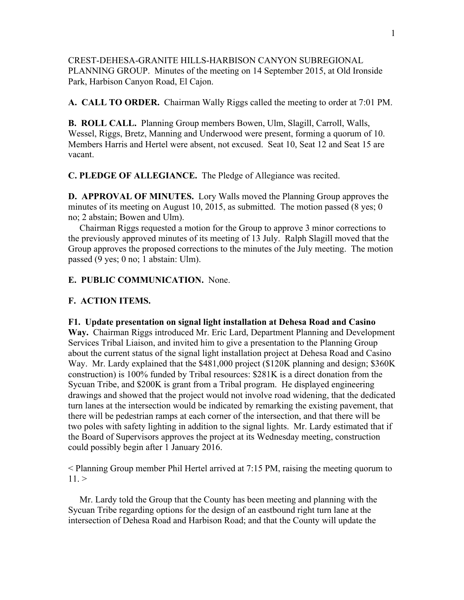CREST-DEHESA-GRANITE HILLS-HARBISON CANYON SUBREGIONAL PLANNING GROUP. Minutes of the meeting on 14 September 2015, at Old Ironside Park, Harbison Canyon Road, El Cajon.

**A. CALL TO ORDER.** Chairman Wally Riggs called the meeting to order at 7:01 PM.

**B. ROLL CALL.** Planning Group members Bowen, Ulm, Slagill, Carroll, Walls, Wessel, Riggs, Bretz, Manning and Underwood were present, forming a quorum of 10. Members Harris and Hertel were absent, not excused. Seat 10, Seat 12 and Seat 15 are vacant.

**C. PLEDGE OF ALLEGIANCE.** The Pledge of Allegiance was recited.

**D. APPROVAL OF MINUTES.** Lory Walls moved the Planning Group approves the minutes of its meeting on August 10, 2015, as submitted. The motion passed (8 yes; 0 no; 2 abstain; Bowen and Ulm).

 Chairman Riggs requested a motion for the Group to approve 3 minor corrections to the previously approved minutes of its meeting of 13 July. Ralph Slagill moved that the Group approves the proposed corrections to the minutes of the July meeting. The motion passed (9 yes; 0 no; 1 abstain: Ulm).

**E. PUBLIC COMMUNICATION.** None.

## **F. ACTION ITEMS.**

## **F1. Update presentation on signal light installation at Dehesa Road and Casino**

**Way.** Chairman Riggs introduced Mr. Eric Lard, Department Planning and Development Services Tribal Liaison, and invited him to give a presentation to the Planning Group about the current status of the signal light installation project at Dehesa Road and Casino Way. Mr. Lardy explained that the \$481,000 project (\$120K planning and design; \$360K construction) is 100% funded by Tribal resources: \$281K is a direct donation from the Sycuan Tribe, and \$200K is grant from a Tribal program. He displayed engineering drawings and showed that the project would not involve road widening, that the dedicated turn lanes at the intersection would be indicated by remarking the existing pavement, that there will be pedestrian ramps at each corner of the intersection, and that there will be two poles with safety lighting in addition to the signal lights. Mr. Lardy estimated that if the Board of Supervisors approves the project at its Wednesday meeting, construction could possibly begin after 1 January 2016.

< Planning Group member Phil Hertel arrived at 7:15 PM, raising the meeting quorum to  $11.$ 

 Mr. Lardy told the Group that the County has been meeting and planning with the Sycuan Tribe regarding options for the design of an eastbound right turn lane at the intersection of Dehesa Road and Harbison Road; and that the County will update the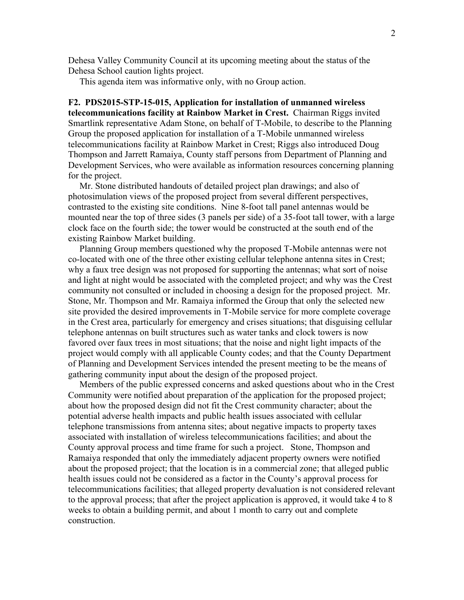Dehesa Valley Community Council at its upcoming meeting about the status of the Dehesa School caution lights project.

This agenda item was informative only, with no Group action.

**F2. PDS2015-STP-15-015, Application for installation of unmanned wireless telecommunications facility at Rainbow Market in Crest.** Chairman Riggs invited Smartlink representative Adam Stone, on behalf of T-Mobile, to describe to the Planning Group the proposed application for installation of a T-Mobile unmanned wireless telecommunications facility at Rainbow Market in Crest; Riggs also introduced Doug Thompson and Jarrett Ramaiya, County staff persons from Department of Planning and Development Services, who were available as information resources concerning planning for the project.

 Mr. Stone distributed handouts of detailed project plan drawings; and also of photosimulation views of the proposed project from several different perspectives, contrasted to the existing site conditions. Nine 8-foot tall panel antennas would be mounted near the top of three sides (3 panels per side) of a 35-foot tall tower, with a large clock face on the fourth side; the tower would be constructed at the south end of the existing Rainbow Market building.

 Planning Group members questioned why the proposed T-Mobile antennas were not co-located with one of the three other existing cellular telephone antenna sites in Crest; why a faux tree design was not proposed for supporting the antennas; what sort of noise and light at night would be associated with the completed project; and why was the Crest community not consulted or included in choosing a design for the proposed project. Mr. Stone, Mr. Thompson and Mr. Ramaiya informed the Group that only the selected new site provided the desired improvements in T-Mobile service for more complete coverage in the Crest area, particularly for emergency and crises situations; that disguising cellular telephone antennas on built structures such as water tanks and clock towers is now favored over faux trees in most situations; that the noise and night light impacts of the project would comply with all applicable County codes; and that the County Department of Planning and Development Services intended the present meeting to be the means of gathering community input about the design of the proposed project.

 Members of the public expressed concerns and asked questions about who in the Crest Community were notified about preparation of the application for the proposed project; about how the proposed design did not fit the Crest community character; about the potential adverse health impacts and public health issues associated with cellular telephone transmissions from antenna sites; about negative impacts to property taxes associated with installation of wireless telecommunications facilities; and about the County approval process and time frame for such a project. Stone, Thompson and Ramaiya responded that only the immediately adjacent property owners were notified about the proposed project; that the location is in a commercial zone; that alleged public health issues could not be considered as a factor in the County's approval process for telecommunications facilities; that alleged property devaluation is not considered relevant to the approval process; that after the project application is approved, it would take 4 to 8 weeks to obtain a building permit, and about 1 month to carry out and complete construction.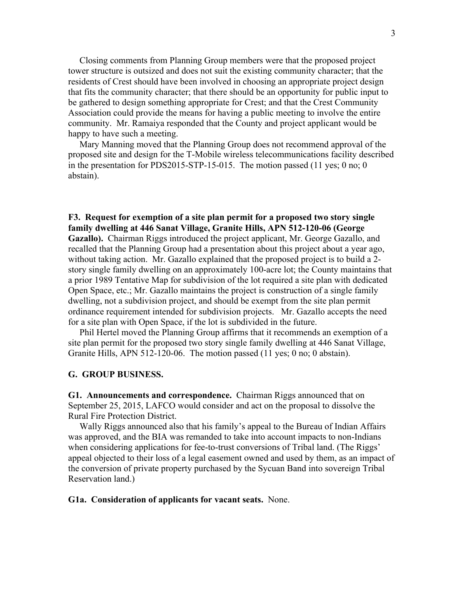Closing comments from Planning Group members were that the proposed project tower structure is outsized and does not suit the existing community character; that the residents of Crest should have been involved in choosing an appropriate project design that fits the community character; that there should be an opportunity for public input to be gathered to design something appropriate for Crest; and that the Crest Community Association could provide the means for having a public meeting to involve the entire community. Mr. Ramaiya responded that the County and project applicant would be happy to have such a meeting.

 Mary Manning moved that the Planning Group does not recommend approval of the proposed site and design for the T-Mobile wireless telecommunications facility described in the presentation for PDS2015-STP-15-015. The motion passed (11 yes; 0 no; 0 abstain).

## **F3. Request for exemption of a site plan permit for a proposed two story single family dwelling at 446 Sanat Village, Granite Hills, APN 512-120-06 (George**

**Gazallo).** Chairman Riggs introduced the project applicant, Mr. George Gazallo, and recalled that the Planning Group had a presentation about this project about a year ago, without taking action. Mr. Gazallo explained that the proposed project is to build a 2story single family dwelling on an approximately 100-acre lot; the County maintains that a prior 1989 Tentative Map for subdivision of the lot required a site plan with dedicated Open Space, etc.; Mr. Gazallo maintains the project is construction of a single family dwelling, not a subdivision project, and should be exempt from the site plan permit ordinance requirement intended for subdivision projects. Mr. Gazallo accepts the need for a site plan with Open Space, if the lot is subdivided in the future.

 Phil Hertel moved the Planning Group affirms that it recommends an exemption of a site plan permit for the proposed two story single family dwelling at 446 Sanat Village, Granite Hills, APN 512-120-06. The motion passed (11 yes; 0 no; 0 abstain).

## **G. GROUP BUSINESS.**

**G1. Announcements and correspondence.** Chairman Riggs announced that on September 25, 2015, LAFCO would consider and act on the proposal to dissolve the Rural Fire Protection District.

 Wally Riggs announced also that his family's appeal to the Bureau of Indian Affairs was approved, and the BIA was remanded to take into account impacts to non-Indians when considering applications for fee-to-trust conversions of Tribal land. (The Riggs' appeal objected to their loss of a legal easement owned and used by them, as an impact of the conversion of private property purchased by the Sycuan Band into sovereign Tribal Reservation land.)

**G1a. Consideration of applicants for vacant seats.** None.